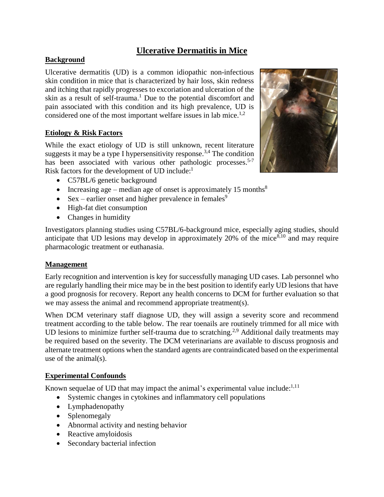# **Ulcerative Dermatitis in Mice**

### **Background**

Ulcerative dermatitis (UD) is a common idiopathic non-infectious skin condition in mice that is characterized by hair loss, skin redness and itching that rapidly progresses to excoriation and ulceration of the skin as a result of self-trauma. <sup>1</sup> Due to the potential discomfort and pain associated with this condition and its high prevalence, UD is considered one of the most important welfare issues in lab mice.<sup>1,2</sup>

### **Etiology & Risk Factors**

While the exact etiology of UD is still unknown, recent literature suggests it may be a type I hypersensitivity response.<sup>3,4</sup> The condition has been associated with various other pathologic processes.<sup>5-7</sup> Risk factors for the development of UD include:<sup>1</sup>



- C57BL/6 genetic background
- Increasing age median age of onset is approximately 15 months<sup>8</sup>
- Sex earlier onset and higher prevalence in females<sup>9</sup>
- High-fat diet consumption
- Changes in humidity

Investigators planning studies using C57BL/6-background mice, especially aging studies, should anticipate that UD lesions may develop in approximately 20% of the mice $8,10$  and may require pharmacologic treatment or euthanasia.

#### **Management**

Early recognition and intervention is key for successfully managing UD cases. Lab personnel who are regularly handling their mice may be in the best position to identify early UD lesions that have a good prognosis for recovery. Report any health concerns to DCM for further evaluation so that we may assess the animal and recommend appropriate treatment(s).

When DCM veterinary staff diagnose UD, they will assign a severity score and recommend treatment according to the table below. The rear toenails are routinely trimmed for all mice with UD lesions to minimize further self-trauma due to scratching.<sup>2,9</sup> Additional daily treatments may be required based on the severity. The DCM veterinarians are available to discuss prognosis and alternate treatment options when the standard agents are contraindicated based on the experimental use of the animal(s).

### **Experimental Confounds**

Known sequelae of UD that may impact the animal's experimental value include: $^{1,11}$ 

- Systemic changes in cytokines and inflammatory cell populations
- Lymphadenopathy
- Splenomegaly
- Abnormal activity and nesting behavior
- Reactive amyloidosis
- Secondary bacterial infection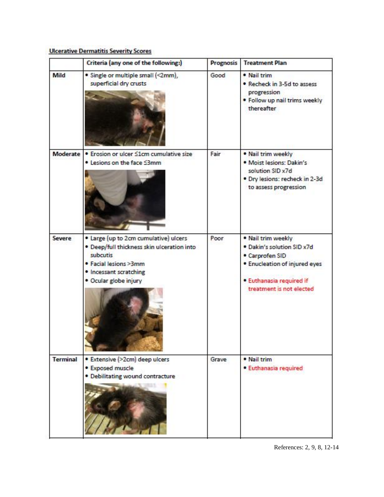|                 | Criteria (any one of the following:)                                                                                                                                        | <b>Prognosis</b> | <b>Treatment Plan</b>                                                                                                                                        |
|-----------------|-----------------------------------------------------------------------------------------------------------------------------------------------------------------------------|------------------|--------------------------------------------------------------------------------------------------------------------------------------------------------------|
| Mild            | · Single or multiple small (<2mm),<br>superficial dry crusts                                                                                                                | Good             | • Nail trim<br>. Recheck in 3-5d to assess<br>progression<br>. Follow up nail trims weekly<br>thereafter                                                     |
| Moderate        | • Erosion or ulcer <1cm cumulative size<br>. Lesions on the face S3mm                                                                                                       | Fair             | . Nail trim weekly<br>· Moist lesions: Dakin's<br>solution SID x7d<br>. Dry lesions: recheck in 2-3d<br>to assess progression                                |
| Severe          | . Large (up to 2cm cumulative) ulcers<br>· Deep/full thickness skin ulceration into<br>subcutis<br>· Facial lesions >3mm<br>· Incessant scratching<br>· Ocular globe injury | Poor             | . Nail trim weekly<br>· Dakin's solution SID x7d<br>· Carprofen SID<br>· Enucleation of injured eyes<br>· Euthanasia required if<br>treatment is not elected |
| <b>Terminal</b> | · Extensive (>2cm) deep ulcers<br>· Exposed muscle<br>· Debilitating wound contracture                                                                                      | Grave            | · Nail trim<br>· Euthanasia required                                                                                                                         |

## **Ulcerative Dermatitis Severity Scores**

References: 2, 9, 8, 12-14